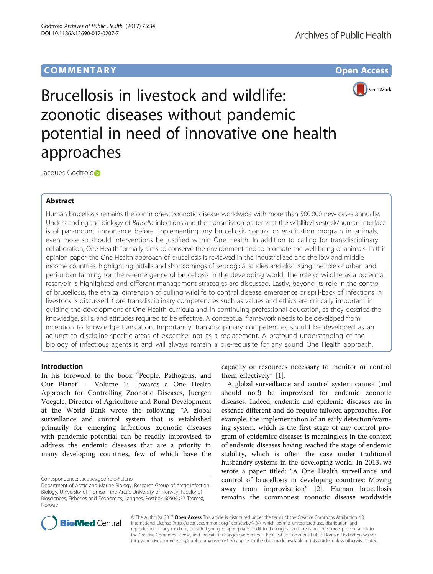# **COMMENTARY COMMENTARY Open Access**



# Brucellosis in livestock and wildlife: zoonotic diseases without pandemic potential in need of innovative one health approaches

Jacques Go[d](http://orcid.org/0000-0002-0782-7858)froid<sub>®</sub>

# Abstract

Human brucellosis remains the commonest zoonotic disease worldwide with more than 500 000 new cases annually. Understanding the biology of Brucella infections and the transmission patterns at the wildlife/livestock/human interface is of paramount importance before implementing any brucellosis control or eradication program in animals, even more so should interventions be justified within One Health. In addition to calling for transdisciplinary collaboration, One Health formally aims to conserve the environment and to promote the well-being of animals. In this opinion paper, the One Health approach of brucellosis is reviewed in the industrialized and the low and middle income countries, highlighting pitfalls and shortcomings of serological studies and discussing the role of urban and peri-urban farming for the re-emergence of brucellosis in the developing world. The role of wildlife as a potential reservoir is highlighted and different management strategies are discussed. Lastly, beyond its role in the control of brucellosis, the ethical dimension of culling wildlife to control disease emergence or spill-back of infections in livestock is discussed. Core transdisciplinary competencies such as values and ethics are critically important in guiding the development of One Health curricula and in continuing professional education, as they describe the knowledge, skills, and attitudes required to be effective. A conceptual framework needs to be developed from inception to knowledge translation. Importantly, transdisciplinary competencies should be developed as an adjunct to discipline-specific areas of expertise, not as a replacement. A profound understanding of the biology of infectious agents is and will always remain a pre-requisite for any sound One Health approach.

## Introduction

In his foreword to the book "People, Pathogens, and Our Planet" – Volume 1: Towards a One Health Approach for Controlling Zoonotic Diseases, Juergen Voegele, Director of Agriculture and Rural Development at the World Bank wrote the following: "A global surveillance and control system that is established primarily for emerging infectious zoonotic diseases with pandemic potential can be readily improvised to address the endemic diseases that are a priority in many developing countries, few of which have the

Correspondence: [Jacques.godfroid@uit.no](mailto:Jacques.godfroid@uit.no)

capacity or resources necessary to monitor or control them effectively" [[1](#page-4-0)].

A global surveillance and control system cannot (and should not!) be improvised for endemic zoonotic diseases. Indeed, endemic and epidemic diseases are in essence different and do require tailored approaches. For example, the implementation of an early detection/warning system, which is the first stage of any control program of epidemicc diseases is meaningless in the context of endemic diseases having reached the stage of endemic stability, which is often the case under traditional husbandry systems in the developing world. In 2013, we wrote a paper titled: "A One Health surveillance and control of brucellosis in developing countries: Moving away from improvisation" [[2\]](#page-4-0). Human brucellosis remains the commonest zoonotic disease worldwide



© The Author(s). 2017 **Open Access** This article is distributed under the terms of the Creative Commons Attribution 4.0 International License [\(http://creativecommons.org/licenses/by/4.0/](http://creativecommons.org/licenses/by/4.0/)), which permits unrestricted use, distribution, and reproduction in any medium, provided you give appropriate credit to the original author(s) and the source, provide a link to the Creative Commons license, and indicate if changes were made. The Creative Commons Public Domain Dedication waiver [\(http://creativecommons.org/publicdomain/zero/1.0/](http://creativecommons.org/publicdomain/zero/1.0/)) applies to the data made available in this article, unless otherwise stated.

Department of Arctic and Marine Biology, Research Group of Arctic Infection Biology, University of Tromsø - the Arctic University of Norway, Faculty of Biosciences, Fisheries and Economics, Langnes, Postbox 60509037 Tromsø, Norway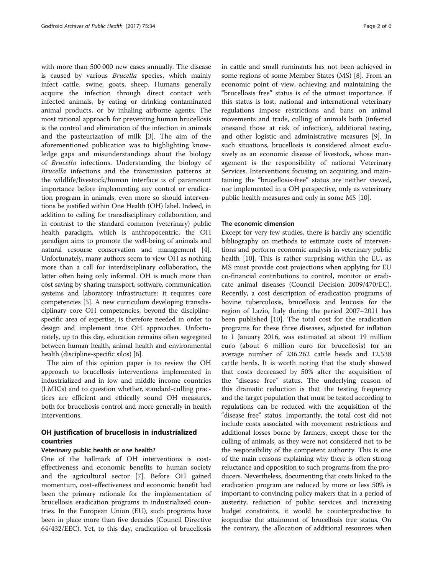with more than 500 000 new cases annually. The disease is caused by various Brucella species, which mainly infect cattle, swine, goats, sheep. Humans generally acquire the infection through direct contact with infected animals, by eating or drinking contaminated animal products, or by inhaling airborne agents. The most rational approach for preventing human brucellosis is the control and elimination of the infection in animals and the pasteurization of milk [\[3](#page-4-0)]. The aim of the aforementioned publication was to highlighting knowledge gaps and misunderstandings about the biology of Brucella infections. Understanding the biology of Brucella infections and the transmission patterns at the wildlife/livestock/human interface is of paramount importance before implementing any control or eradication program in animals, even more so should interventions be justified within One Health (OH) label. Indeed, in addition to calling for transdisciplinary collaboration, and in contrast to the standard common (veterinary) public health paradigm, which is anthropocentric, the OH paradigm aims to promote the well-being of animals and natural resourse conservation and management [[4](#page-4-0)]. Unfortunately, many authors seem to view OH as nothing more than a call for interdisciplinary collaboration, the latter often being only informal. OH is much more than cost saving by sharing transport, software, communication systems and laboratory infrastructure: it requires core competencies [[5](#page-5-0)]. A new curriculum developing transdisciplinary core OH competencies, beyond the disciplinespecific area of expertise, is therefore needed in order to design and implement true OH approaches. Unfortunately, up to this day, education remains often segregated between human health, animal health and environmental health (discipline-specific silos) [[6](#page-5-0)].

The aim of this opinion paper is to review the OH approach to brucellosis interventions implemented in industrialized and in low and middle income countries (LMICs) and to question whether, standard-culling practices are efficient and ethically sound OH measures, both for brucellosis control and more generally in health interventions.

## OH justification of brucellosis in industrialized countries

## Veterinary public health or one health?

One of the hallmark of OH interventions is costeffectiveness and economic benefits to human society and the agricultural sector [\[7](#page-5-0)]. Before OH gained momentum, cost-effectiveness and economic benefit had been the primary rationale for the implementation of brucellosis eradication programs in industrialized countries. In the European Union (EU), such programs have been in place more than five decades (Council Directive 64/432/EEC). Yet, to this day, eradication of brucellosis in cattle and small ruminants has not been achieved in some regions of some Member States (MS) [\[8\]](#page-5-0). From an economic point of view, achieving and maintaining the "brucellosis free" status is of the utmost importance. If this status is lost, national and international veterinary regulations impose restrictions and bans on animal movements and trade, culling of animals both (infected onesand those at risk of infection), additional testing, and other logistic and administrative measures [[9\]](#page-5-0). In such situations, brucellosis is considered almost exclusively as an economic disease of livestock, whose management is the responsibility of national Veterinary Services. Interventions focusing on acquiring and maintaining the "brucellosis-free" status are neither viewed, nor implemented in a OH perspective, only as veterinary public health measures and only in some MS [[10\]](#page-5-0).

#### The economic dimension

Except for very few studies, there is hardly any scientific bibliography on methods to estimate costs of interventions and perform economic analysis in veterinary public health [\[10](#page-5-0)]. This is rather surprising within the EU, as MS must provide cost projections when applying for EU co-financial contributions to control, monitor or eradicate animal diseases (Council Decision 2009/470/EC). Recently, a cost description of eradication programs of bovine tuberculosis, brucellosis and leucosis for the region of Lazio, Italy during the period 2007–2011 has been published [[10](#page-5-0)]. The total cost for the eradication programs for these three diseases, adjusted for inflation to 1 January 2016, was estimated at about 19 million euro (about 6 million euro for brucellosis) for an average number of 236.262 cattle heads and 12.538 cattle herds. It is worth noting that the study showed that costs decreased by 50% after the acquisition of the "disease free" status. The underlying reason of this dramatic reduction is that the testing frequency and the target population that must be tested according to regulations can be reduced with the acquisition of the "disease free" status. Importantly, the total cost did not include costs associated with movement restrictions and additional losses borne by farmers, except those for the culling of animals, as they were not considered not to be the responsibility of the competent authority. This is one of the main reasons explaining why there is often strong reluctance and opposition to such programs from the producers. Nevertheless, documenting that costs linked to the eradication program are reduced by more or less 50% is important to convincing policy makers that in a period of austerity, reduction of public services and increasing budget constraints, it would be counterproductive to jeopardize the attainment of brucellosis free status. On the contrary, the allocation of additional resources when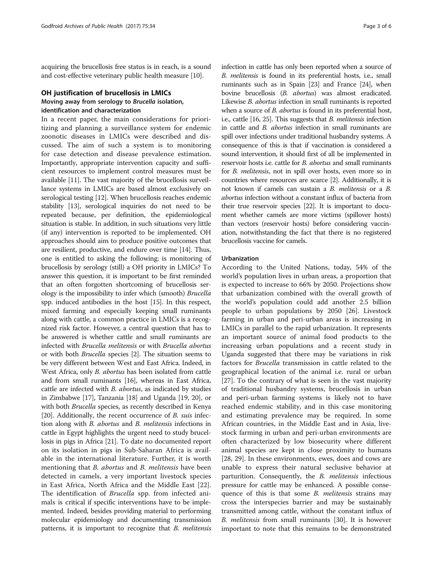acquiring the brucellosis free status is in reach, is a sound and cost-effective veterinary public health measure [\[10\]](#page-5-0).

## OH justification of brucellosis in LMICs Moving away from serology to Brucella isolation, identification and characterization

In a recent paper, the main considerations for prioritizing and planning a surveillance system for endemic zoonotic diseases in LMICs were described and discussed. The aim of such a system is to monitoring for case detection and disease prevalence estimation. Importantly, appropriate intervention capacity and sufficient resources to implement control measures must be available [[11](#page-5-0)]. The vast majority of the brucellosis surveillance systems in LMICs are based almost exclusively on serological testing [\[12\]](#page-5-0). When brucellosis reaches endemic stability [[13](#page-5-0)], serological inquiries do not need to be repeated because, per definition, the epidemiological situation is stable. In addition, in such situations very little (if any) intervention is reported to be implemented. OH approaches should aim to produce positive outcomes that are resilient, productive, and endure over time [[14](#page-5-0)]. Thus, one is entitled to asking the following: is monitoring of brucellosis by serology (still) a OH priority in LMICs? To answer this question, it is important to be first reminded that an often forgotten shortcoming of brucellosis serology is the impossibility to infer which (smooth) Brucella spp. induced antibodies in the host [\[15\]](#page-5-0). In this respect, mixed farming and especially keeping small ruminants along with cattle, a common practice in LMICs is a recognized risk factor. However, a central question that has to be answered is whether cattle and small ruminants are infected with Brucella melitensis or with Brucella abortus or with both Brucella species [\[2](#page-4-0)]. The situation seems to be very different between West and East Africa. Indeed, in West Africa, only *B. abortus* has been isolated from cattle and from small ruminants [\[16\]](#page-5-0), whereas in East Africa, cattle are infected with B. abortus, as indicated by studies in Zimbabwe [[17](#page-5-0)], Tanzania [[18](#page-5-0)] and Uganda [\[19](#page-5-0), [20](#page-5-0)], or with both Brucella species, as recently described in Kenya [[20](#page-5-0)]. Additionally, the recent occurrence of *B. suis* infection along with B. abortus and B. melitensis infections in cattle in Egypt highlights the urgent need to study brucellosis in pigs in Africa [[21](#page-5-0)]. To date no documented report on its isolation in pigs in Sub-Saharan Africa is available in the international literature. Further, it is worth mentioning that B. abortus and B. melitensis have been detected in camels, a very important livestock species in East Africa, North Africa and the Middle East [\[22](#page-5-0)]. The identification of *Brucella* spp. from infected animals is critical if specific interventions have to be implemented. Indeed, besides providing material to performing molecular epidemiology and documenting transmission patterns, it is important to recognize that B. melitensis

infection in cattle has only been reported when a source of B. melitensis is found in its preferential hosts, i.e., small ruminants such as in Spain [\[23\]](#page-5-0) and France [\[24](#page-5-0)], when bovine brucellosis (B. abortus) was almost eradicated. Likewise B. abortus infection in small ruminants is reported when a source of *B. abortus* is found in its preferential host, i.e., cattle [\[16](#page-5-0), [25\]](#page-5-0). This suggests that B. melitensis infection in cattle and B. abortus infection in small ruminants are spill over infections under traditional husbandry systems. A consequence of this is that if vaccination is considered a sound intervention, it should first of all be implemented in reservoir hosts i.e. cattle for B. abortus and small ruminants for B. melitensis, not in spill over hosts, even more so in countries where resources are scarce [\[2](#page-4-0)]. Additionally, it is not known if camels can sustain a B. melitensis or a B. abortus infection without a constant influx of bacteria from their true reservoir species [[22](#page-5-0)]. It is important to document whether camels are more victims (spillover hosts) than vectors (reservoir hosts) before considering vaccination, notwithstanding the fact that there is no registered brucellosis vaccine for camels.

## Urbanization

According to the United Nations, today, 54% of the world's population lives in urban areas, a proportion that is expected to increase to 66% by 2050. Projections show that urbanization combined with the overall growth of the world's population could add another 2.5 billion people to urban populations by 2050 [\[26](#page-5-0)]. Livestock farming in urban and peri-urban areas is increasing in LMICs in parallel to the rapid urbanization. It represents an important source of animal food products to the increasing urban populations and a recent study in Uganda suggested that there may be variations in risk factors for Brucella transmission in cattle related to the geographical location of the animal i.e. rural or urban [[27\]](#page-5-0). To the contrary of what is seen in the vast majority of traditional husbandry systems, brucellosis in urban and peri-urban farming systems is likely not to have reached endemic stability, and in this case monitoring and estimating prevalence may be required. In some African countries, in the Middle East and in Asia, livestock farming in urban and peri-urban environments are often characterized by low biosecurity where different animal species are kept in close proximity to humans [[28, 29\]](#page-5-0). In these environments, ewes, does and cows are unable to express their natural seclusive behavior at parturition. Consequently, the B. melitensis infectious pressure for cattle may be enhanced. A possible consequence of this is that some *B. melitensis* strains may cross the interspecies barrier and may be sustainably transmitted among cattle, without the constant influx of B. melitensis from small ruminants [\[30](#page-5-0)]. It is however important to note that this remains to be demonstrated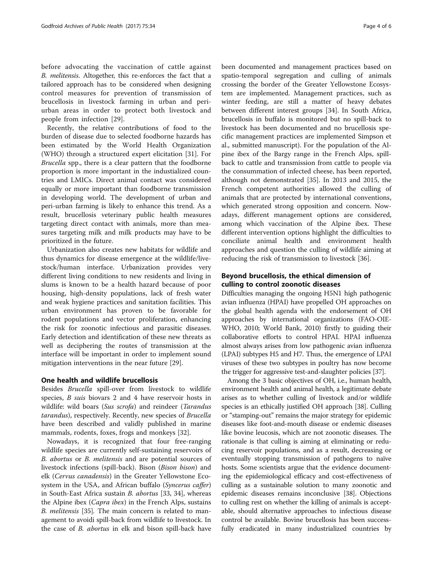before advocating the vaccination of cattle against B. melitensis. Altogether, this re-enforces the fact that a tailored approach has to be considered when designing control measures for prevention of transmission of brucellosis in livestock farming in urban and periurban areas in order to protect both livestock and people from infection [\[29](#page-5-0)].

Recently, the relative contributions of food to the burden of disease due to selected foodborne hazards has been estimated by the World Health Organization (WHO) through a structured expert elicitation [[31\]](#page-5-0). For Brucella spp., there is a clear pattern that the foodborne proportion is more important in the industialized countries and LMICs. Direct animal contact was considered equally or more important than foodborne transmission in developing world. The development of urban and peri-urban farming is likely to enhance this trend. As a result, brucellosis veterinary public health measures targeting direct contact with animals, more than measures targeting milk and milk products may have to be prioritized in the future.

Urbanization also creates new habitats for wildlife and thus dynamics for disease emergence at the wildlife/livestock/human interface. Urbanization provides very different living conditions to new residents and living in slums is known to be a health hazard because of poor housing, high-density populations, lack of fresh water and weak hygiene practices and sanitation facilities. This urban environment has proven to be favorable for rodent populations and vector proliferation, enhancing the risk for zoonotic infectious and parasitic diseases. Early detection and identification of these new threats as well as deciphering the routes of transmission at the interface will be important in order to implement sound mitigation interventions in the near future [[29\]](#page-5-0).

#### One health and wildlife brucellosis

Besides Brucella spill-over from livestock to wildlife species, B suis biovars 2 and 4 have reservoir hosts in wildlife: wild boars (Sus scrofa) and reindeer (Tarandus tarandus), respectively. Recently, new species of Brucella have been described and validly published in marine mammals, rodents, foxes, frogs and monkeys [\[32](#page-5-0)].

Nowadays, it is recognized that four free-ranging wildlife species are currently self-sustaining reservoirs of B. abortus or B. melitensis and are potential sources of livestock infections (spill-back). Bison (Bison bison) and elk (Cervus canadensis) in the Greater Yellowstone Ecosystem in the USA, and African buffalo (Syncerus caffer) in South-East Africa sustain B. abortus [[33, 34](#page-5-0)], whereas the Alpine ibex (*Capra ibex*) in the French Alps, sustains B. melitensis [\[35](#page-5-0)]. The main concern is related to management to avoidi spill-back from wildlife to livestock. In the case of B. abortus in elk and bison spill-back have

been documented and management practices based on spatio-temporal segregation and culling of animals crossing the border of the Greater Yellowstone Ecosystem are implemented. Management practices, such as winter feeding, are still a matter of heavy debates between different interest groups [\[34\]](#page-5-0). In South Africa, brucellosis in buffalo is monitored but no spill-back to livestock has been documented and no brucellosis specific management practices are implemented Simpson et al., submitted manuscript). For the population of the Alpine ibex of the Bargy range in the French Alps, spillback to cattle and transmission from cattle to people via the consummation of infected cheese, has been reported, although not demonstrated [[35](#page-5-0)]. In 2013 and 2015, the French competent authorities allowed the culling of animals that are protected by international conventions, which generated strong opposition and concern. Nowadays, different management options are considered, among which vaccination of the Alpine ibex. These different intervention options highlight the difficulties to conciliate animal health and environment health approaches and question the culling of wildlife aiming at reducing the risk of transmission to livestock [\[36](#page-5-0)].

## Beyond brucellosis, the ethical dimension of culling to control zoonotic diseases

Difficulties managing the ongoing H5N1 high pathogenic avian influenza (HPAI) have propelled OH approaches on the global health agenda with the endorsement of OH approaches by international organizations (FAO-OIE-WHO, 2010; World Bank, 2010) firstly to guiding their collaborative efforts to control HPAI. HPAI influenza almost always arises from low pathogenic avian influenza (LPAI) subtypes H5 and H7. Thus, the emergence of LPAI viruses of these two subtypes in poultry has now become the trigger for aggressive test-and-slaughter policies [\[37\]](#page-5-0).

Among the 3 basic objectives of OH, i.e., human health, environment health and animal health, a legitimate debate arises as to whether culling of livestock and/or wildlife species is an ethically justified OH approach [\[38\]](#page-5-0). Culling or "stamping-out" remains the major strategy for epidemic diseases like foot-and-mouth disease or endemic diseases like bovine leucosis, which are not zoonotic diseases. The rationale is that culling is aiming at eliminating or reducing reservoir populations, and as a result, decreasing or eventually stopping transmission of pathogens to naïve hosts. Some scientists argue that the evidence documenting the epidemiological efficacy and cost-effectiveness of culling as a sustainable solution to many zoonotic and epidemic diseases remains inconclusive [[38](#page-5-0)]. Objections to culling rest on whether the killing of animals is acceptable, should alternative approaches to infectious disease control be available. Bovine brucellosis has been successfully eradicated in many industrialized countries by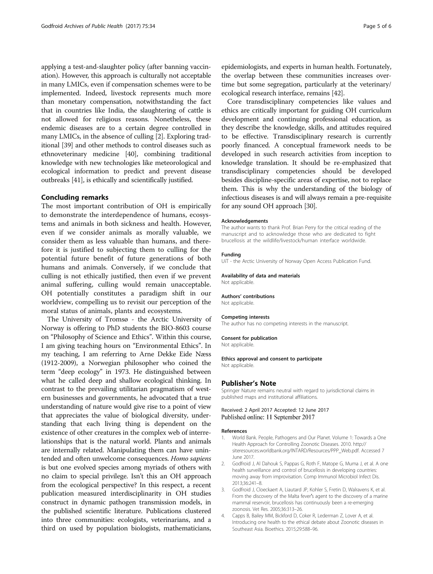<span id="page-4-0"></span>applying a test-and-slaughter policy (after banning vaccination). However, this approach is culturally not acceptable in many LMICs, even if compensation schemes were to be implemented. Indeed, livestock represents much more than monetary compensation, notwithstanding the fact that in countries like India, the slaughtering of cattle is not allowed for religious reasons. Nonetheless, these endemic diseases are to a certain degree controlled in many LMICs, in the absence of culling [2]. Exploring traditional [\[39\]](#page-5-0) and other methods to control diseases such as ethnoveterinary medicine [\[40\]](#page-5-0), combining traditional knowledge with new technologies like meteorological and ecological information to predict and prevent disease outbreaks [\[41](#page-5-0)], is ethically and scientifically justified.

### Concluding remarks

The most important contribution of OH is empirically to demonstrate the interdependence of humans, ecosystems and animals in both sickness and health. However, even if we consider animals as morally valuable, we consider them as less valuable than humans, and therefore it is justified to subjecting them to culling for the potential future benefit of future generations of both humans and animals. Conversely, if we conclude that culling is not ethically justified, then even if we prevent animal suffering, culling would remain unacceptable. OH potentially constitutes a paradigm shift in our worldview, compelling us to revisit our perception of the moral status of animals, plants and ecosystems.

The University of Tromsø - the Arctic University of Norway is offering to PhD students the BIO-8603 course on "Philosophy of Science and Ethics". Within this course, I am giving teaching hours on "Environmental Ethics". In my teaching, I am referring to Arne Dekke Eide Næss (1912-2009), a Norwegian philosopher who coined the term "deep ecology" in 1973. He distinguished between what he called deep and shallow ecological thinking. In contrast to the prevailing utilitarian pragmatism of western businesses and governments, he advocated that a true understanding of nature would give rise to a point of view that appreciates the value of biological diversity, understanding that each living thing is dependent on the existence of other creatures in the complex web of interrelationships that is the natural world. Plants and animals are internally related. Manipulating them can have unintended and often unwelcome consequences. Homo sapiens is but one evolved species among myriads of others with no claim to special privilege. Isn't this an OH approach from the ecological perspective? In this respect, a recent publication measured interdisciplinarity in OH studies construct in dynamic pathogen transmission models, in the published scientific literature. Publications clustered into three communities: ecologists, veterinarians, and a third on used by population biologists, mathematicians, epidemiologists, and experts in human health. Fortunately, the overlap between these communities increases overtime but some segregation, particularly at the veterinary/ ecological research interface, remains [\[42](#page-5-0)].

Core transdisciplinary competencies like values and ethics are critically important for guiding OH curriculum development and continuing professional education, as they describe the knowledge, skills, and attitudes required to be effective. Transdisciplinary research is currently poorly financed. A conceptual framework needs to be developed in such research activities from inception to knowledge translation. It should be re-emphasized that transdisciplinary competencies should be developed besides discipline-specific areas of expertise, not to replace them. This is why the understanding of the biology of infectious diseases is and will always remain a pre-requisite for any sound OH approach [[30](#page-5-0)].

#### Acknowledgements

The author wants to thank Prof. Brian Perry for the critical reading of the manuscript and to acknowledge those who are dedicated to fight brucellosis at the wildlife/livestock/human interface worldwide.

#### Funding

UiT - the Arctic University of Norway Open Access Publication Fund.

#### Availability of data and materials

Not applicable.

#### Authors' contributions

Not applicable.

#### Competing interests

The author has no competing interests in the manuscript.

#### Consent for publication

Not applicable.

#### Ethics approval and consent to participate Not applicable.

Publisher's Note

Springer Nature remains neutral with regard to jurisdictional claims in published maps and institutional affiliations.

Received: 2 April 2017 Accepted: 12 June 2017 Published online: 11 September 2017

#### References

- 1. World Bank. People, Pathogens and Our Planet. Volume 1: Towards a One Health Approach for Controlling Zoonotic Diseases. 2010. [http://](http://siteresources.worldbank.org/INTARD/Resources/PPP_Web.pdf) [siteresources.worldbank.org/INTARD/Resources/PPP\\_Web.pdf.](http://siteresources.worldbank.org/INTARD/Resources/PPP_Web.pdf) Accessed 7 June 2017.
- 2. Godfroid J, Al Dahouk S, Pappas G, Roth F, Matope G, Muma J, et al. A one health surveillance and control of brucellosis in developing countries: moving away from improvisation. Comp Immunol Microbiol Infect Dis. 2013;36:241–8.
- 3. Godfroid J, Cloeckaert A, Liautard JP, Kohler S, Fretin D, Walravens K, et al. From the discovery of the Malta fever′s agent to the discovery of a marine mammal reservoir, brucellosis has continuously been a re-emerging zoonosis. Vet Res. 2005;36:313–26.
- 4. Capps B, Bailey MM, Bickford D, Coker R, Lederman Z, Lover A, et al. Introducing one health to the ethical debate about Zoonotic diseases in Southeast Asia. Bioethics. 2015;29:588–96.